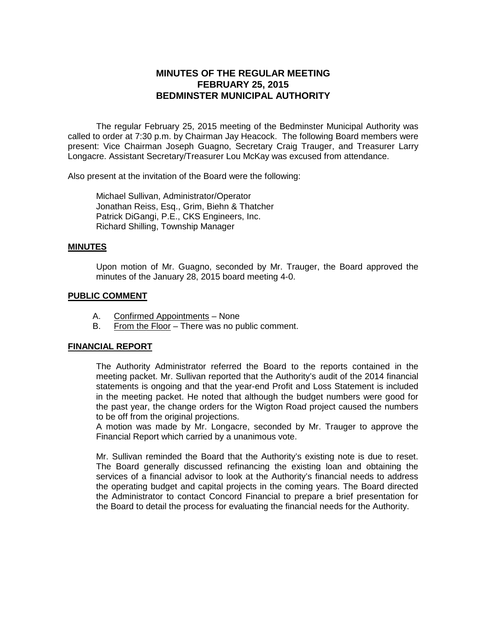# **MINUTES OF THE REGULAR MEETING FEBRUARY 25, 2015 BEDMINSTER MUNICIPAL AUTHORITY**

The regular February 25, 2015 meeting of the Bedminster Municipal Authority was called to order at 7:30 p.m. by Chairman Jay Heacock. The following Board members were present: Vice Chairman Joseph Guagno, Secretary Craig Trauger, and Treasurer Larry Longacre. Assistant Secretary/Treasurer Lou McKay was excused from attendance.

Also present at the invitation of the Board were the following:

Michael Sullivan, Administrator/Operator Jonathan Reiss, Esq., Grim, Biehn & Thatcher Patrick DiGangi, P.E., CKS Engineers, Inc. Richard Shilling, Township Manager

#### **MINUTES**

Upon motion of Mr. Guagno, seconded by Mr. Trauger, the Board approved the minutes of the January 28, 2015 board meeting 4-0.

#### **PUBLIC COMMENT**

- A. Confirmed Appointments None
- B. From the Floor There was no public comment.

#### **FINANCIAL REPORT**

The Authority Administrator referred the Board to the reports contained in the meeting packet. Mr. Sullivan reported that the Authority's audit of the 2014 financial statements is ongoing and that the year-end Profit and Loss Statement is included in the meeting packet. He noted that although the budget numbers were good for the past year, the change orders for the Wigton Road project caused the numbers to be off from the original projections.

A motion was made by Mr. Longacre, seconded by Mr. Trauger to approve the Financial Report which carried by a unanimous vote.

Mr. Sullivan reminded the Board that the Authority's existing note is due to reset. The Board generally discussed refinancing the existing loan and obtaining the services of a financial advisor to look at the Authority's financial needs to address the operating budget and capital projects in the coming years. The Board directed the Administrator to contact Concord Financial to prepare a brief presentation for the Board to detail the process for evaluating the financial needs for the Authority.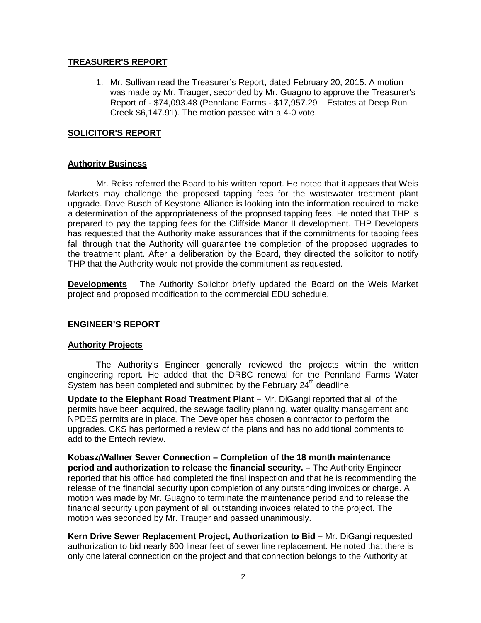#### **TREASURER'S REPORT**

1. Mr. Sullivan read the Treasurer's Report, dated February 20, 2015. A motion was made by Mr. Trauger, seconded by Mr. Guagno to approve the Treasurer's Report of - \$74,093.48 (Pennland Farms - \$17,957.29 Estates at Deep Run Creek \$6,147.91). The motion passed with a 4-0 vote.

### **SOLICITOR'S REPORT**

### **Authority Business**

Mr. Reiss referred the Board to his written report. He noted that it appears that Weis Markets may challenge the proposed tapping fees for the wastewater treatment plant upgrade. Dave Busch of Keystone Alliance is looking into the information required to make a determination of the appropriateness of the proposed tapping fees. He noted that THP is prepared to pay the tapping fees for the Cliffside Manor II development. THP Developers has requested that the Authority make assurances that if the commitments for tapping fees fall through that the Authority will guarantee the completion of the proposed upgrades to the treatment plant. After a deliberation by the Board, they directed the solicitor to notify THP that the Authority would not provide the commitment as requested.

**Developments** – The Authority Solicitor briefly updated the Board on the Weis Market project and proposed modification to the commercial EDU schedule.

### **ENGINEER'S REPORT**

### **Authority Projects**

The Authority's Engineer generally reviewed the projects within the written engineering report. He added that the DRBC renewal for the Pennland Farms Water System has been completed and submitted by the February  $24<sup>th</sup>$  deadline.

**Update to the Elephant Road Treatment Plant –** Mr. DiGangi reported that all of the permits have been acquired, the sewage facility planning, water quality management and NPDES permits are in place. The Developer has chosen a contractor to perform the upgrades. CKS has performed a review of the plans and has no additional comments to add to the Entech review.

**Kobasz/Wallner Sewer Connection – Completion of the 18 month maintenance period and authorization to release the financial security. –** The Authority Engineer reported that his office had completed the final inspection and that he is recommending the release of the financial security upon completion of any outstanding invoices or charge. A motion was made by Mr. Guagno to terminate the maintenance period and to release the financial security upon payment of all outstanding invoices related to the project. The motion was seconded by Mr. Trauger and passed unanimously.

**Kern Drive Sewer Replacement Project, Authorization to Bid –** Mr. DiGangi requested authorization to bid nearly 600 linear feet of sewer line replacement. He noted that there is only one lateral connection on the project and that connection belongs to the Authority at